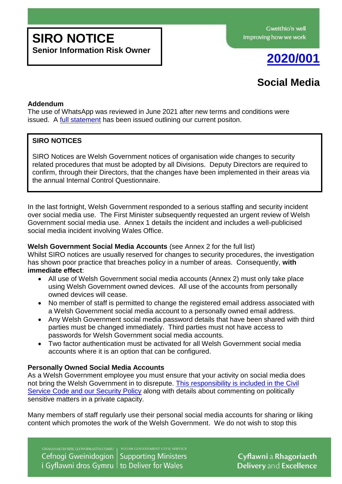# **SIRO NOTICE**

**Senior Information Risk Owner**



# **Social Media**

# **Addendum**

The use of WhatsApp was reviewed in June 2021 after new terms and conditions were issued. A [full statement](https://documents.hf.wales.gov.uk/id:A28838039/document/versions/published) has been issued outlining our current positon.

# **SIRO NOTICES**

SIRO Notices are Welsh Government notices of organisation wide changes to security related procedures that must be adopted by all Divisions. Deputy Directors are required to confirm, through their Directors, that the changes have been implemented in their areas via the annual Internal Control Questionnaire.

In the last fortnight, Welsh Government responded to a serious staffing and security incident over social media use. The First Minister subsequently requested an urgent review of Welsh Government social media use. Annex 1 details the incident and includes a well-publicised social media incident involving Wales Office.

# **Welsh Government Social Media Accounts** (see Annex 2 for the full list)

Whilst SIRO notices are usually reserved for changes to security procedures, the investigation has shown poor practice that breaches policy in a number of areas. Consequently, **with immediate effect**:

- All use of Welsh Government social media accounts (Annex 2) must only take place using Welsh Government owned devices. All use of the accounts from personally owned devices will cease.
- No member of staff is permitted to change the registered email address associated with a Welsh Government social media account to a personally owned email address.
- Any Welsh Government social media password details that have been shared with third parties must be changed immediately. Third parties must not have access to passwords for Welsh Government social media accounts.
- Two factor authentication must be activated for all Welsh Government social media accounts where it is an option that can be configured.

# **Personally Owned Social Media Accounts**

As a Welsh Government employee you must ensure that your activity on social media does not bring the Welsh Government in to disrepute. [This responsibility is included in the Civil](https://documents.hf.wales.gov.uk/id:A18025427/document/versions/published)  Service Code [and our Security Policy](https://documents.hf.wales.gov.uk/id:A18025427/document/versions/published) along with details about commenting on politically sensitive matters in a private capacity.

Many members of staff regularly use their personal social media accounts for sharing or liking content which promotes the work of the Welsh Government. We do not wish to stop this

Cefnogi Gweinidogion **Supporting Ministers** i Gyflawni dros Gymru | to Deliver for Wales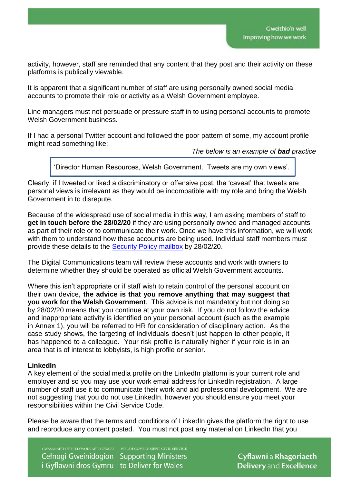activity, however, staff are reminded that any content that they post and their activity on these platforms is publically viewable.

It is apparent that a significant number of staff are using personally owned social media accounts to promote their role or activity as a Welsh Government employee.

Line managers must not persuade or pressure staff in to using personal accounts to promote Welsh Government business.

If I had a personal Twitter account and followed the poor pattern of some, my account profile might read something like:

*The below is an example of bad practice*

'Director Human Resources, Welsh Government. Tweets are my own views'.

Clearly, if I tweeted or liked a discriminatory or offensive post, the 'caveat' that tweets are personal views is irrelevant as they would be incompatible with my role and bring the Welsh Government in to disrepute.

Because of the widespread use of social media in this way, I am asking members of staff to **get in touch before the 28/02/20** if they are using personally owned and managed accounts as part of their role or to communicate their work. Once we have this information, we will work with them to understand how these accounts are being used. Individual staff members must provide these details to the [Security Policy mailbox](mailto:securitypolicy@gov.wales) by 28/02/20.

The Digital Communications team will review these accounts and work with owners to determine whether they should be operated as official Welsh Government accounts.

Where this isn't appropriate or if staff wish to retain control of the personal account on their own device, **the advice is that you remove anything that may suggest that you work for the Welsh Government**. This advice is not mandatory but not doing so by 28/02/20 means that you continue at your own risk. If you do not follow the advice and inappropriate activity is identified on your personal account (such as the example in Annex 1), you will be referred to HR for consideration of disciplinary action. As the case study shows, the targeting of individuals doesn't just happen to other people, it has happened to a colleague. Your risk profile is naturally higher if your role is in an area that is of interest to lobbyists, is high profile or senior.

#### **LinkedIn**

A key element of the social media profile on the LinkedIn platform is your current role and employer and so you may use your work email address for LinkedIn registration. A large number of staff use it to communicate their work and aid professional development. We are not suggesting that you do not use LinkedIn, however you should ensure you meet your responsibilities within the Civil Service Code.

Please be aware that the terms and conditions of LinkedIn gives the platform the right to use and reproduce any content posted. You must not post any material on LinkedIn that you

Cefnogi Gweinidogion Supporting Ministers i Gyflawni dros Gymru to Deliver for Wales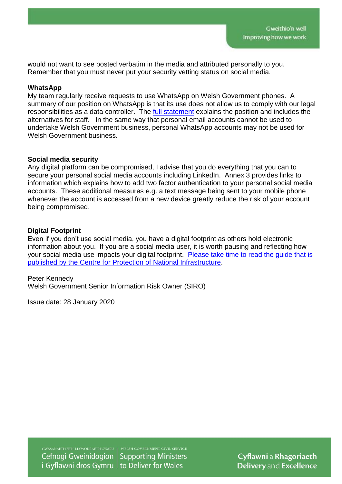would not want to see posted verbatim in the media and attributed personally to you. Remember that you must never put your security vetting status on social media.

#### **WhatsApp**

My team regularly receive requests to use WhatsApp on Welsh Government phones. A summary of our position on WhatsApp is that its use does not allow us to comply with our legal responsibilities as a data controller. The [full statement](https://documents.hf.wales.gov.uk/id:A28838039/document/versions/published) explains the position and includes the alternatives for staff. In the same way that personal email accounts cannot be used to undertake Welsh Government business, personal WhatsApp accounts may not be used for Welsh Government business.

#### **Social media security**

Any digital platform can be compromised, I advise that you do everything that you can to secure your personal social media accounts including LinkedIn. Annex 3 provides links to information which explains how to add two factor authentication to your personal social media accounts. These additional measures e.g. a text message being sent to your mobile phone whenever the account is accessed from a new device greatly reduce the risk of your account being compromised.

# **Digital Footprint**

Even if you don't use social media, you have a digital footprint as others hold electronic information about you. If you are a social media user, it is worth pausing and reflecting how your social media use impacts your digital footprint. [Please take time to read the guide that is](https://www.cpni.gov.uk/system/files/documents/59/06/10_Tracking%20my%20digital%20footprint_FINAL.pdf)  [published by the Centre for](https://www.cpni.gov.uk/system/files/documents/59/06/10_Tracking%20my%20digital%20footprint_FINAL.pdf) Protection of National Infrastructure.

Peter Kennedy Welsh Government Senior Information Risk Owner (SIRO)

Issue date: 28 January 2020

Cefnogi Gweinidogion **Supporting Ministers** i Gyflawni dros Gymru | to Deliver for Wales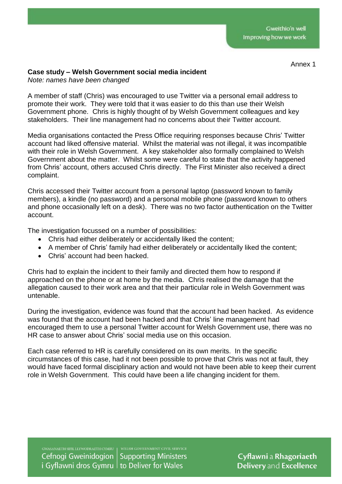#### Annex 1

# **Case study – Welsh Government social media incident**

*Note: names have been changed*

A member of staff (Chris) was encouraged to use Twitter via a personal email address to promote their work. They were told that it was easier to do this than use their Welsh Government phone. Chris is highly thought of by Welsh Government colleagues and key stakeholders. Their line management had no concerns about their Twitter account.

Media organisations contacted the Press Office requiring responses because Chris' Twitter account had liked offensive material. Whilst the material was not illegal, it was incompatible with their role in Welsh Government. A key stakeholder also formally complained to Welsh Government about the matter. Whilst some were careful to state that the activity happened from Chris' account, others accused Chris directly. The First Minister also received a direct complaint.

Chris accessed their Twitter account from a personal laptop (password known to family members), a kindle (no password) and a personal mobile phone (password known to others and phone occasionally left on a desk). There was no two factor authentication on the Twitter account.

The investigation focussed on a number of possibilities:

- Chris had either deliberately or accidentally liked the content;
- A member of Chris' family had either deliberately or accidentally liked the content;
- Chris' account had been hacked.

Chris had to explain the incident to their family and directed them how to respond if approached on the phone or at home by the media. Chris realised the damage that the allegation caused to their work area and that their particular role in Welsh Government was untenable.

During the investigation, evidence was found that the account had been hacked. As evidence was found that the account had been hacked and that Chris' line management had encouraged them to use a personal Twitter account for Welsh Government use, there was no HR case to answer about Chris' social media use on this occasion.

Each case referred to HR is carefully considered on its own merits. In the specific circumstances of this case, had it not been possible to prove that Chris was not at fault, they would have faced formal disciplinary action and would not have been able to keep their current role in Welsh Government. This could have been a life changing incident for them.

Cefnogi Gweinidogion **Supporting Ministers** i Gyflawni dros Gymru | to Deliver for Wales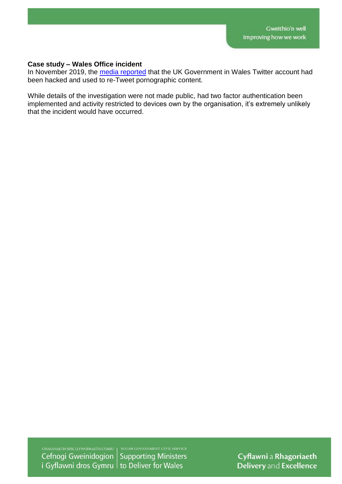#### **Case study – Wales Office incident**

In November 2019, the [media reported](https://www.bbc.co.uk/news/technology-50547918) that the UK Government in Wales Twitter account had been hacked and used to re-Tweet pornographic content.

While details of the investigation were not made public, had two factor authentication been implemented and activity restricted to devices own by the organisation, it's extremely unlikely that the incident would have occurred.

Cefnogi Gweinidogion **Supporting Ministers** i Gyflawni dros Gymru  $\vert$  to Deliver for Wales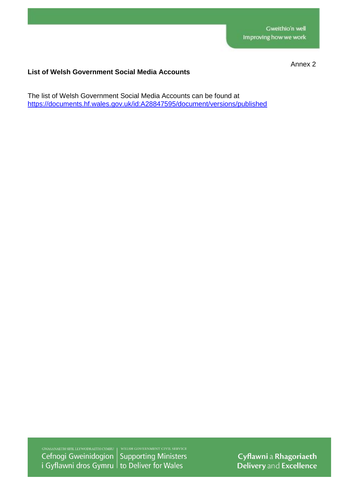Annex 2

# **List of Welsh Government Social Media Accounts**

The list of Welsh Government Social Media Accounts can be found at <https://documents.hf.wales.gov.uk/id:A28847595/document/versions/published>

Cefnogi Gweinidogion **Supporting Ministers** i Gyflawni dros Gymru to Deliver for Wales